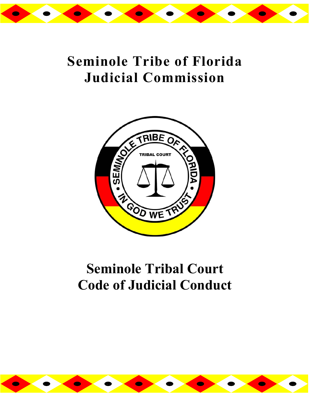

# **Seminole Tribe of Florida Judicial Commission**



# **Seminole Tribal Court Code of Judicial Conduct**

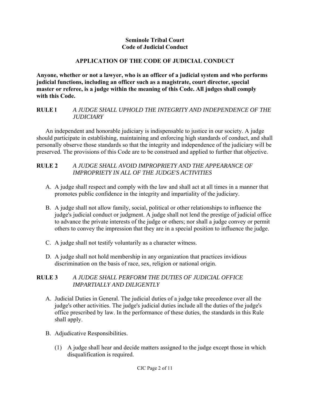#### **Seminole Tribal Court Code of Judicial Conduct**

## **APPLICATION OF THE CODE OF JUDICIAL CONDUCT**

**Anyone, whether or not a lawyer, who is an officer of a judicial system and who performs judicial functions, including an officer such as a magistrate, court director, special master or referee, is a judge within the meaning of this Code. All judges shall comply with this Code.** 

#### **RULE l** *A JUDGE SHALL UPHOLD THE INTEGRITY AND INDEPENDENCE OF THE JUDICIARY*

An independent and honorable judiciary is indispensable to justice in our society. A judge should participate in establishing, maintaining and enforcing high standards of conduct, and shall personally observe those standards so that the integrity and independence of the judiciary will be preserved. The provisions of this Code are to be construed and applied to further that objective.

#### **RULE 2** *A JUDGE SHALL AVOID IMPROPRIETY AND THE APPEARANCE OF IMPROPRIETY IN ALL OF THE JUDGE'S ACTIVITIES*

- A. A judge shall respect and comply with the law and shall act at all times in a manner that promotes public confidence in the integrity and impartiality of the judiciary.
- B. A judge shall not allow family, social, political or other relationships to influence the judge's judicial conduct or judgment. A judge shall not lend the prestige of judicial office to advance the private interests of the judge or others; nor shall a judge convey or permit others to convey the impression that they are in a special position to influence the judge.
- C. A judge shall not testify voluntarily as a character witness.
- D. A judge shall not hold membership in any organization that practices invidious discrimination on the basis of race, sex, religion or national origin.

## **RULE 3** *A JUDGE SHALL PERFORM THE DUTIES OF JUDICIAL OFFICE IMPARTIALLY AND DILIGENTLY*

- A. Judicial Duties in General. The judicial duties of a judge take precedence over all the judge's other activities. The judge's judicial duties include all the duties of the judge's office prescribed by law. In the performance of these duties, the standards in this Rule shall apply.
- B. Adjudicative Responsibilities.
	- (1) A judge shall hear and decide matters assigned to the judge except those in which disqualification is required.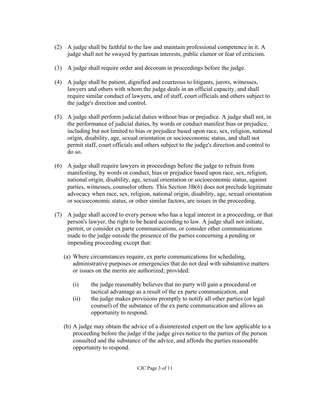- (2) A judge shall be faithful to the law and maintain professional competence in it. A judge shall not be swayed by partisan interests, public clamor or fear of criticism.
- (3) A judge shall require order and decorum in proceedings before the judge.
- (4) A judge shall be patient, dignified and courteous to litigants, jurors, witnesses, lawyers and others with whom the judge deals in an official capacity, and shall require similar conduct of lawyers, and of staff, court officials and others subject to the judge's direction and control.
- (5) A judge shall perform judicial duties without bias or prejudice. A judge shall not, in the performance of judicial duties, by words or conduct manifest bias or prejudice, including but not limited to bias or prejudice based upon race, sex, religion, national origin, disability, age, sexual orientation or socioeconomic status, and shall not permit staff, court officials and others subject to the judge's direction and control to do so.
- (6) A judge shall require lawyers in proceedings before the judge to refrain from manifesting, by words or conduct, bias or prejudice based upon race, sex, religion, national origin, disability, age, sexual orientation or socioeconomic status, against parties, witnesses, counselor others. This Section 3B(6) does not preclude legitimate advocacy when race, sex, religion, national origin, disability, age, sexual orientation or socioeconomic status, or other similar factors, are issues in the proceeding.
- (7) A judge shall accord to every person who has a legal interest in a proceeding, or that person's lawyer, the right to be heard according to law. A judge shall not initiate, permit, or consider ex parte communications, or consider other communications made to the judge outside the presence of the parties concerning a pending or impending proceeding except that:
	- (a) Where circumstances require, ex parte communications for scheduling, administrative purposes or emergencies that do not deal with substantive matters or issues on the merits are authorized; provided:
		- (i) the judge reasonably believes that no party will gain a procedural or tactical advantage as a result of the ex parte communication, and
		- (ii) the judge makes provisions promptly to notify all other parties (or legal counsel) of the substance of the ex parte communication and allows an opportunity to respond.
	- (b) A judge may obtain the advice of a disinterested expert on the law applicable to a proceeding before the judge if the judge gives notice to the parties of the person consulted and the substance of the advice, and affords the parties reasonable opportunity to respond.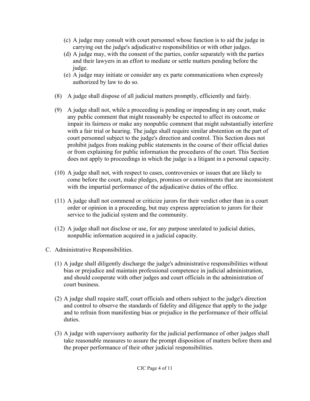- (c) A judge may consult with court personnel whose function is to aid the judge in carrying out the judge's adjudicative responsibilities or with other judges.
- (d) A judge may, with the consent of the parties, confer separately with the parties and their lawyers in an effort to mediate or settle matters pending before the judge.
- (e) A judge may initiate or consider any ex parte communications when expressly authorized by law to do so.
- (8) A judge shall dispose of all judicial matters promptly, efficiently and fairly.
- (9) A judge shall not, while a proceeding is pending or impending in any court, make any public comment that might reasonably be expected to affect its outcome or impair its fairness or make any nonpublic comment that might substantially interfere with a fair trial or hearing. The judge shall require similar abstention on the part of court personnel subject to the judge's direction and control. This Section does not prohibit judges from making public statements in the course of their official duties or from explaining for public information the procedures of the court. This Section does not apply to proceedings in which the judge is a litigant in a personal capacity.
- (10) A judge shall not, with respect to cases, controversies or issues that are likely to come before the court, make pledges, promises or commitments that are inconsistent with the impartial performance of the adjudicative duties of the office.
- (11) A judge shall not commend or criticize jurors for their verdict other than in a court order or opinion in a proceeding, but may express appreciation to jurors for their service to the judicial system and the community.
- (12) A judge shall not disclose or use, for any purpose unrelated to judicial duties, nonpublic information acquired in a judicial capacity.
- C. Administrative Responsibilities.
	- (1) A judge shall diligently discharge the judge's administrative responsibilities without bias or prejudice and maintain professional competence in judicial administration, and should cooperate with other judges and court officials in the administration of court business.
	- (2) A judge shall require staff, court officials and others subject to the judge's direction and control to observe the standards of fidelity and diligence that apply to the judge and to refrain from manifesting bias or prejudice in the performance of their official duties.
	- (3) A judge with supervisory authority for the judicial performance of other judges shall take reasonable measures to assure the prompt disposition of matters before them and the proper performance of their other judicial responsibilities.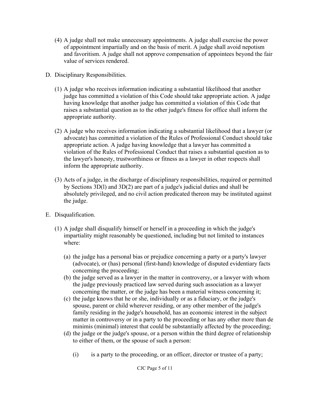- (4) A judge shall not make unnecessary appointments. A judge shall exercise the power of appointment impartially and on the basis of merit. A judge shall avoid nepotism and favoritism. A judge shall not approve compensation of appointees beyond the fair value of services rendered.
- D. Disciplinary Responsibilities.
	- (1) A judge who receives information indicating a substantial likelihood that another judge has committed a violation of this Code should take appropriate action. A judge having knowledge that another judge has committed a violation of this Code that raises a substantial question as to the other judge's fitness for office shall inform the appropriate authority.
	- (2) A judge who receives information indicating a substantial likelihood that a lawyer (or advocate) has committed a violation of the Rules of Professional Conduct should take appropriate action. A judge having knowledge that a lawyer has committed a violation of the Rules of Professional Conduct that raises a substantial question as to the lawyer's honesty, trustworthiness or fitness as a lawyer in other respects shall inform the appropriate authority.
	- (3) Acts of a judge, in the discharge of disciplinary responsibilities, required or permitted by Sections 3D(l) and 3D(2) are part of a judge's judicial duties and shall be absolutely privileged, and no civil action predicated thereon may be instituted against the judge.
- E. Disqualification.
	- (1) A judge shall disqualify himself or herself in a proceeding in which the judge's impartiality might reasonably be questioned, including but not limited to instances where:
		- (a) the judge has a personal bias or prejudice concerning a party or a party's lawyer (advocate), or (has) personal (first-hand) knowledge of disputed evidentiary facts concerning the proceeding;
		- (b) the judge served as a lawyer in the matter in controversy, or a lawyer with whom the judge previously practiced law served during such association as a lawyer concerning the matter, or the judge has been a material witness concerning it;
		- (c) the judge knows that he or she, individually or as a fiduciary, or the judge's spouse, parent or child wherever residing, or any other member of the judge's family residing in the judge's household, has an economic interest in the subject matter in controversy or in a party to the proceeding or has any other more than de minimis (minimal) interest that could be substantially affected by the proceeding;
		- (d) the judge or the judge's spouse, or a person within the third degree of relationship to either of them, or the spouse of such a person:
			- (i) is a party to the proceeding, or an officer, director or trustee of a party;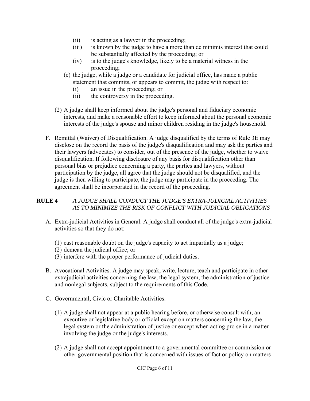- (ii) is acting as a lawyer in the proceeding;
- (iii) is known by the judge to have a more than de minimis interest that could be substantially affected by the proceeding; or
- (iv) is to the judge's knowledge, likely to be a material witness in the proceeding;
- (e) the judge, while a judge or a candidate for judicial office, has made a public statement that commits, or appears to commit, the judge with respect to:
	- (i) an issue in the proceeding; or
	- (ii) the controversy in the proceeding.
- (2) A judge shall keep informed about the judge's personal and fiduciary economic interests, and make a reasonable effort to keep informed about the personal economic interests of the judge's spouse and minor children residing in the judge's household.
- F. Remittal (Waiver) of Disqualification. A judge disqualified by the terms of Rule 3E may disclose on the record the basis of the judge's disqualification and may ask the parties and their lawyers (advocates) to consider, out of the presence of the judge, whether to waive disqualification. If following disclosure of any basis for disqualification other than personal bias or prejudice concerning a party, the parties and lawyers, without participation by the judge, all agree that the judge should not be disqualified, and the judge is then willing to participate, the judge may participate in the proceeding. The agreement shall be incorporated in the record of the proceeding.

# **RULE 4** *A JUDGE SHALL CONDUCT THE JUDGE'S EXTRA-JUDICIAL ACTIVITIES AS TO MINIMIZE THE RISK OF CONFLICT WITH JUDICIAL OBLIGATIONS*

- A. Extra-judicial Activities in General. A judge shall conduct all of the judge's extra-judicial activities so that they do not:
	- (1) cast reasonable doubt on the judge's capacity to act impartially as a judge;
	- (2) demean the judicial office; or
	- (3) interfere with the proper performance of judicial duties.
- B. Avocational Activities. A judge may speak, write, lecture, teach and participate in other extrajudicial activities concerning the law, the legal system, the administration of justice and nonlegal subjects, subject to the requirements of this Code.
- C. Governmental, Civic or Charitable Activities.
	- (1) A judge shall not appear at a public hearing before, or otherwise consult with, an executive or legislative body or official except on matters concerning the law, the legal system or the administration of justice or except when acting pro se in a matter involving the judge or the judge's interests.
	- (2) A judge shall not accept appointment to a governmental committee or commission or other governmental position that is concerned with issues of fact or policy on matters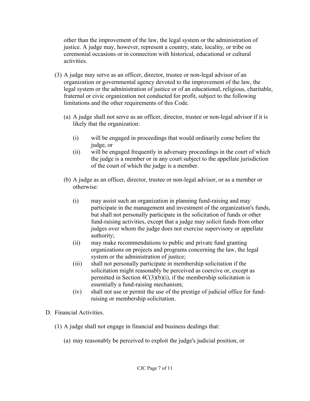other than the improvement of the law, the legal system or the administration of justice. A judge may, however, represent a country, state, locality, or tribe on ceremonial occasions or in connection with historical, educational or cultural activities.

- (3) A judge may serve as an officer, director, trustee or non-legal advisor of an organization or governmental agency devoted to the improvement of the law, the legal system or the administration of justice or of an educational, religious, charitable, fraternal or civic organization not conducted for profit, subject to the following limitations and the other requirements of this Code.
	- (a) A judge shall not serve as an officer, director, trustee or non-legal advisor if it is likely that the organization:
		- (i) will be engaged in proceedings that would ordinarily come before the judge, or
		- (ii) will be engaged frequently in adversary proceedings in the court of which the judge is a member or in any court subject to the appellate jurisdiction of the court of which the judge is a member.
	- (b) A judge as an officer, director, trustee or non-legal advisor, or as a member or otherwise:
		- (i) may assist such an organization in planning fund-raising and may participate in the management and investment of the organization's funds, but shall not personally participate in the solicitation of funds or other fund-raising activities, except that a judge may solicit funds from other judges over whom the judge does not exercise supervisory or appellate authority;
		- (ii) may make recommendations to public and private fund granting organizations on projects and programs concerning the law, the legal system or the administration of justice;
		- (iii) shall not personally participate in membership solicitation if the solicitation might reasonably be perceived as coercive or, except as permitted in Section  $4C(3)(b)(i)$ , if the membership solicitation is essentially a fund-raising mechanism;
		- (iv) shall not use or permit the use of the prestige of judicial office for fundraising or membership solicitation.
- D. Financial Activities.
	- (1) A judge shall not engage in financial and business dealings that:
		- (a) may reasonably be perceived to exploit the judge's judicial position, or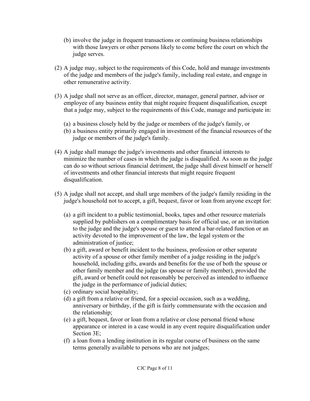- (b) involve the judge in frequent transactions or continuing business relationships with those lawyers or other persons likely to come before the court on which the judge serves.
- (2) A judge may, subject to the requirements of this Code, hold and manage investments of the judge and members of the judge's family, including real estate, and engage in other remunerative activity.
- (3) A judge shall not serve as an officer, director, manager, general partner, advisor or employee of any business entity that might require frequent disqualification, except that a judge may, subject to the requirements of this Code, manage and participate in:
	- (a) a business closely held by the judge or members of the judge's family, or
	- (b) a business entity primarily engaged in investment of the financial resources of the judge or members of the judge's family.
- (4) A judge shall manage the judge's investments and other financial interests to minimize the number of cases in which the judge is disqualified. As soon as the judge can do so without serious financial detriment, the judge shall divest himself or herself of investments and other financial interests that might require frequent disqualification.
- (5) A judge shall not accept, and shall urge members of the judge's family residing in the judge's household not to accept, a gift, bequest, favor or loan from anyone except for:
	- (a) a gift incident to a public testimonial, books, tapes and other resource materials supplied by publishers on a complimentary basis for official use, or an invitation to the judge and the judge's spouse or guest to attend a bar-related function or an activity devoted to the improvement of the law, the legal system or the administration of justice;
	- (b) a gift, award or benefit incident to the business, profession or other separate activity of a spouse or other family member of a judge residing in the judge's household, including gifts, awards and benefits for the use of both the spouse or other family member and the judge (as spouse or family member), provided the gift, award or benefit could not reasonably be perceived as intended to influence the judge in the performance of judicial duties;
	- (c) ordinary social hospitality;
	- (d) a gift from a relative or friend, for a special occasion, such as a wedding, anniversary or birthday, if the gift is fairly commensurate with the occasion and the relationship;
	- (e) a gift, bequest, favor or loan from a relative or close personal friend whose appearance or interest in a case would in any event require disqualification under Section 3E;
	- (f) a loan from a lending institution in its regular course of business on the same terms generally available to persons who are not judges;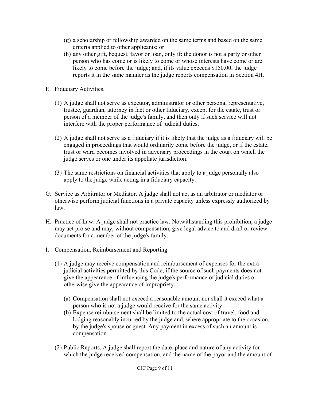- (g) a scholarship or fellowship awarded on the same terms and based on the same criteria applied to other applicants; or
- (h) any other gift, bequest, favor or loan, only if: the donor is not a party or other person who has come or is likely to come or whose interests have come or are likely to come before the judge; and, if its value exceeds \$150.00, the judge reports it in the same manner as the judge reports compensation in Section 4H.
- E. Fiduciary Activities.
	- (1) A judge shall not serve as executor, administrator or other personal representative, trustee, guardian, attorney in fact or other fiduciary, except for the estate, trust or person of a member of the judge's family, and then only if such service will not interfere with the proper performance of judicial duties.
	- (2) A judge shall not serve as a fiduciary if it is likely that the judge as a fiduciary will be engaged in proceedings that would ordinarily come before the judge, or if the estate, trust or ward becomes involved in adversary proceedings in the court on which the judge serves or one under its appellate jurisdiction.
	- (3) The same restrictions on financial activities that apply to a judge personally also apply to the judge while acting in a fiduciary capacity.
- G. Service as Arbitrator or Mediator. A judge shall not act as an arbitrator or mediator or otherwise perform judicial functions in a private capacity unless expressly authorized by law.
- H. Practice of Law. A judge shall not practice law. Notwithstanding this prohibition, a judge may act pro se and may, without compensation, give legal advice to and draft or review documents for a member of the judge's family.
- I. Compensation, Reimbursement and Reporting.
	- (1) A judge may receive compensation and reimbursement of expenses for the extrajudicial activities permitted by this Code, if the source of such payments does not give the appearance of influencing the judge's performance of judicial duties or otherwise give the appearance of impropriety.
		- (a) Compensation shall not exceed a reasonable amount nor shall it exceed what a person who is not a judge would receive for the same activity.
		- (b) Expense reimbursement shall be limited to the actual cost of travel, food and lodging reasonably incurred by the judge and, where appropriate to the occasion, by the judge's spouse or guest. Any payment in excess of such an amount is compensation.
	- (2) Public Reports. A judge shall report the date, place and nature of any activity for which the judge received compensation, and the name of the payor and the amount of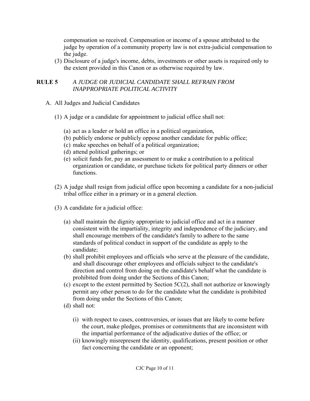compensation so received. Compensation or income of a spouse attributed to the judge by operation of a community property law is not extra-judicial compensation to the judge.

(3) Disclosure of a judge's income, debts, investments or other assets is required only to the extent provided in this Canon or as otherwise required by law.

# **RULE 5** *A JUDGE OR JUDICIAL CANDIDATE SHALL REFRAIN FROM INAPPROPRIATE POLITICAL ACTIVITY*

- A. All Judges and Judicial Candidates
	- (1) A judge or a candidate for appointment to judicial office shall not:
		- (a) act as a leader or hold an office in a political organization,
		- (b) publicly endorse or publicly oppose another candidate for public office;
		- (c) make speeches on behalf of a political organization;
		- (d) attend political gatherings; or
		- (e) solicit funds for, pay an assessment to or make a contribution to a political organization or candidate, or purchase tickets for political party dinners or other functions.
	- (2) A judge shall resign from judicial office upon becoming a candidate for a non-judicial tribal office either in a primary or in a general election.
	- (3) A candidate for a judicial office:
		- (a) shall maintain the dignity appropriate to judicial office and act in a manner consistent with the impartiality, integrity and independence of the judiciary, and shall encourage members of the candidate's family to adhere to the same standards of political conduct in support of the candidate as apply to the candidate;
		- (b) shall prohibit employees and officials who serve at the pleasure of the candidate, and shall discourage other employees and officials subject to the candidate's direction and control from doing on the candidate's behalf what the candidate is prohibited from doing under the Sections of this Canon;
		- (c) except to the extent permitted by Section 5C(2), shall not authorize or knowingly permit any other person to do for the candidate what the candidate is prohibited from doing under the Sections of this Canon;
		- (d) shall not:
			- (i) with respect to cases, controversies, or issues that are likely to come before the court, make pledges, promises or commitments that are inconsistent with the impartial performance of the adjudicative duties of the office; or
			- (ii) knowingly misrepresent the identity, qualifications, present position or other fact concerning the candidate or an opponent;